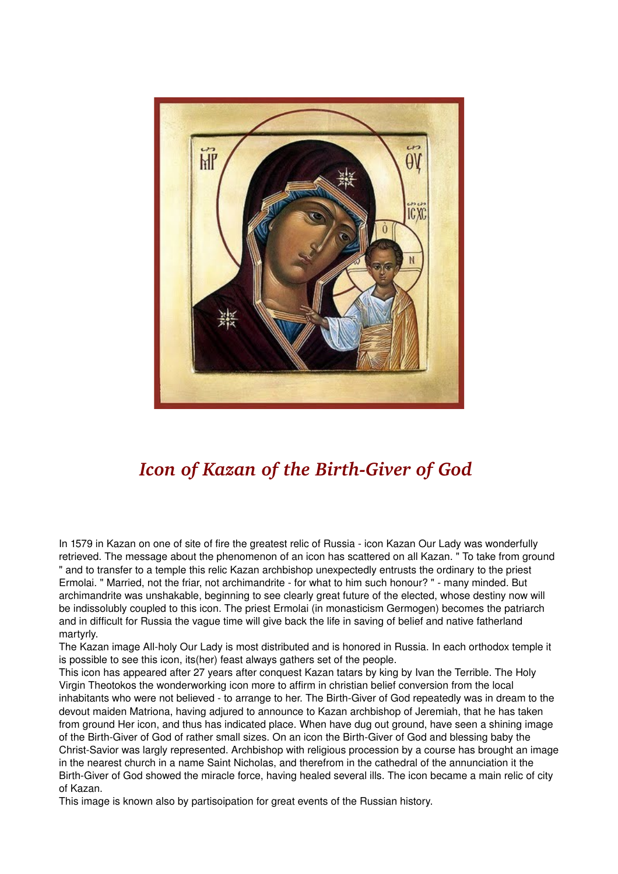

## *Icon of Kazan of the Birth-Giver of God*

In 1579 in Kazan on one of site of fire the greatest relic of Russia - icon Kazan Our Lady was wonderfully retrieved. The message about the phenomenon of an icon has scattered on all Kazan. " To take from ground " and to transfer to a temple this relic Kazan archbishop unexpectedly entrusts the ordinary to the priest Ermolai. " Married, not the friar, not archimandrite - for what to him such honour? " - many minded. But archimandrite was unshakable, beginning to see clearly great future of the elected, whose destiny now will be indissolubly coupled to this icon. The priest Ermolai (in monasticism Germogen) becomes the patriarch and in difficult for Russia the vague time will give back the life in saving of belief and native fatherland martyrly.

The Kazan image All-holy Our Lady is most distributed and is honored in Russia. In each orthodox temple it is possible to see this icon, its(her) feast always gathers set of the people.

This icon has appeared after 27 years after conquest Kazan tatars by king by Ivan the Terrible. The Holy Virgin Theotokos the wonderworking icon more to affirm in christian belief conversion from the local inhabitants who were not believed - to arrange to her. The Birth-Giver of God repeatedly was in dream to the devout maiden Matriona, having adjured to announce to Kazan archbishop of Jeremiah, that he has taken from ground Her icon, and thus has indicated place. When have dug out ground, have seen a shining image of the Birth-Giver of God of rather small sizes. On an icon the Birth-Giver of God and blessing baby the Christ-Savior was largly represented. Archbishop with religious procession by a course has brought an image in the nearest church in a name Saint Nicholas, and therefrom in the cathedral of the annunciation it the Birth-Giver of God showed the miracle force, having healed several ills. The icon became a main relic of city of Kazan.

This image is known also by partisoipation for great events of the Russian history.